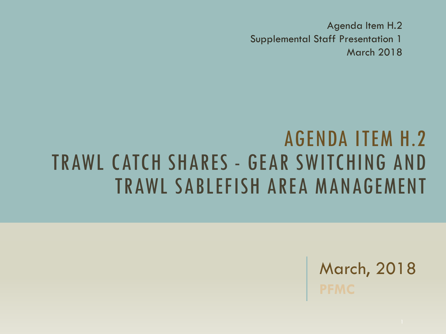Agenda Item H.2 Supplemental Staff Presentation 1 March 2018

### AGENDA ITEM H.2 TRAWL CATCH SHARES - GEAR SWITCHING AND TRAWL SABLEFISH AREA MANAGEMENT

March, 2018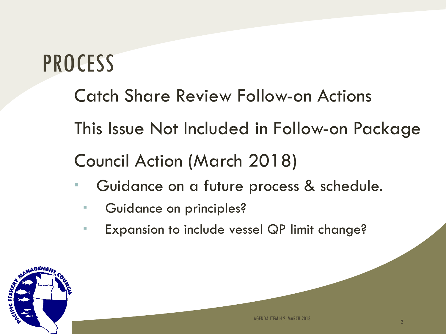## **PROCESS**

- Catch Share Review Follow-on Actions
- This Issue Not Included in Follow-on Package

#### Council Action (March 2018)

- **Guidance on a future process & schedule.** 
	- **Guidance on principles?**
	- **Expansion to include vessel QP limit change?**

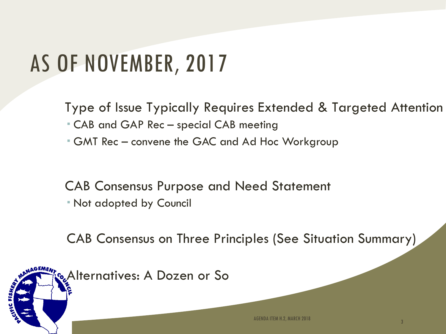### AS OF NOVEMBER, 2017

Type of Issue Typically Requires Extended & Targeted Attention

- CAB and GAP Rec special CAB meeting
- GMT Rec convene the GAC and Ad Hoc Workgroup

CAB Consensus Purpose and Need Statement

Not adopted by Council

CAB Consensus on Three Principles (See Situation Summary)

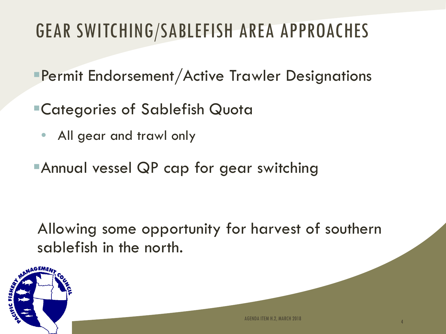### GEAR SWITCHING/SABLEFISH AREA APPROACHES

- Permit Endorsement/Active Trawler Designations
- Categories of Sablefish Quota
	- All gear and trawl only
- **Annual vessel QP cap for gear switching**

Allowing some opportunity for harvest of southern sablefish in the north.

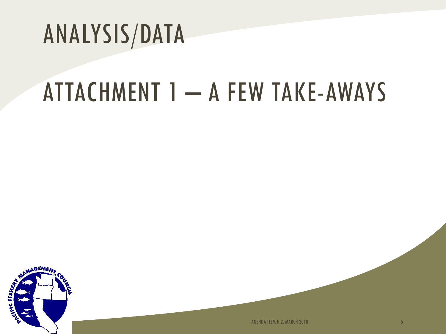# ANALYSIS/DATA

# ATTACHMENT 1 – A FEW TAKE-AWAYS



AGENDA ITEM H.2, MARCH 2018 **5**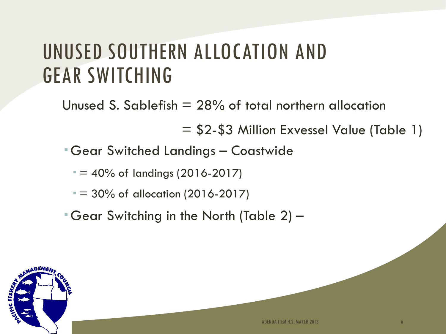### UNUSED SOUTHERN ALLOCATION AND GEAR SWITCHING

Unused S. Sablefish  $= 28\%$  of total northern allocation

= \$2-\$3 Million Exvessel Value (Table 1)

Gear Switched Landings – Coastwide

 $= 40\%$  of landings (2016-2017)

 $= 30\%$  of allocation (2016-2017)

Gear Switching in the North (Table 2) –

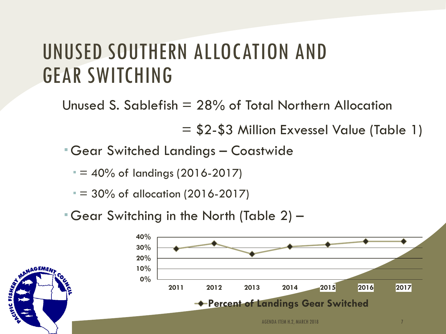### UNUSED SOUTHERN ALLOCATION AND GEAR SWITCHING

Unused S. Sablefish = 28% of Total Northern Allocation

= \$2-\$3 Million Exvessel Value (Table 1)

Gear Switched Landings – Coastwide

 $= 40\%$  of landings (2016-2017)

 $= 30\%$  of allocation (2016-2017)

Gear Switching in the North (Table 2) –

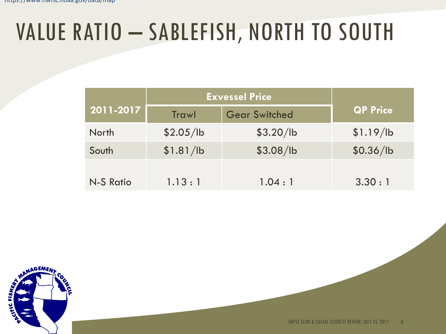## VALUE RATIO – SABLEFISH, NORTH TO SOUTH

|              | <b>Exvessel Price</b> |                      |                 |
|--------------|-----------------------|----------------------|-----------------|
| 2011-2017    | <b>Trawl</b>          | <b>Gear Switched</b> | <b>QP Price</b> |
| <b>North</b> | \$2.05/lb             | \$3.20/lb            | \$1.19/lb       |
| South        | \$1.81/lb             | \$3.08/lb            | \$0.36/lb       |
| N-S Ratio    | 1.13:1                | 1.04:1               | 3.30:1          |

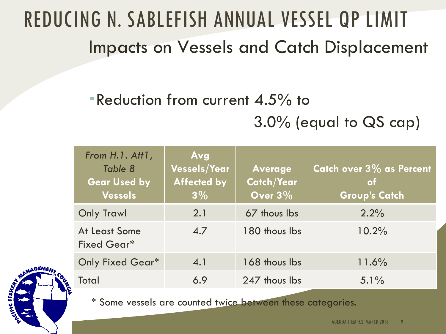### REDUCING N. SABLEFISH ANNUAL VESSEL QP LIMIT Impacts on Vessels and Catch Displacement

Reduction from current 4.5% to

3.0% (equal to QS cap)

| From H.1. Att1,<br>Table 8<br><b>Gear Used by</b><br><b>Vessels</b> | Avg<br><b>Vessels/Year</b><br><b>Affected by</b><br>$3\%$ | <b>Average</b><br><b>Catch/Year</b><br>Over $3\%$ | Catch over 3% as Percent<br>of<br><b>Group's Catch</b> |
|---------------------------------------------------------------------|-----------------------------------------------------------|---------------------------------------------------|--------------------------------------------------------|
| <b>Only Trawl</b>                                                   | 2.1                                                       | 67 thous lbs                                      | 2.2%                                                   |
| At Least Some<br>Fixed Gear*                                        | 4.7                                                       | 180 thous lbs                                     | 10.2%                                                  |
| <b>Only Fixed Gear*</b>                                             | 4.1                                                       | 168 thous lbs                                     | 11.6%                                                  |
| <b>Total</b>                                                        | 6.9                                                       | 247 thous lbs                                     | $5.1\%$                                                |

\* Some vessels are counted twice between these categories.